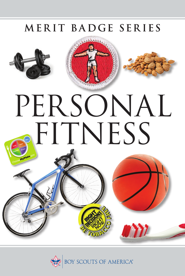## MERIT BADGE SERIES



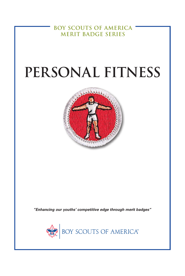**BOY SCOUTS OF AMERICA MERIT BADGE SERIES**

# **PERSONAL FITNESS**



*"Enhancing our youths' competitive edge through merit badges"*

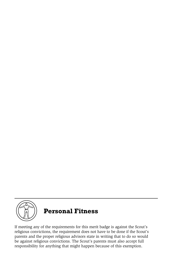

If meeting any of the requirements for this merit badge is against the Scout's religious convictions, the requirement does not have to be done if the Scout's parents and the proper religious advisors state in writing that to do so would be against religious convictions. The Scout's parents must also accept full responsibility for anything that might happen because of this exemption.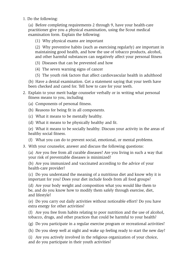1. Do the following:

(a) Before completing requirements 2 through 9, have your health-care practitioner give you a physical examination, using the Scout medical examination form. Explain the following:

(1) Why physical exams are important

(2) Why preventive habits (such as exercising regularly) are important in maintaining good health, and how the use of tobacco products, alcohol, and other harmful substances can negatively affect your personal fitness

- (3) Diseases that can be prevented and how
- (4) The seven warning signs of cancer
- (5) The youth risk factors that affect cardiovascular health in adulthood

(b) Have a dental examination. Get a statement saying that your teeth have been checked and cared for. Tell how to care for your teeth.

- 2. Explain to your merit badge counselor verbally or in writing what personal fitness means to you, including
	- (a) Components of personal fitness.
	- (b) Reasons for being fit in all components.
	- (c) What it means to be mentally healthy.
	- (d) What it means to be physically healthy and fit.

(e) What it means to be socially healthy. Discuss your activity in the areas of healthy social fitness.

- (f) What you can do to prevent social, emotional, or mental problems.
- 3. With your counselor, answer and discuss the following questions:

(a) Are you free from all curable diseases? Are you living in such a way that your risk of preventable diseases is minimized?

(b) Are you immunized and vaccinated according to the advice of your health-care provider?

(c) Do you understand the meaning of a nutritious diet and know why it is important for you? Does your diet include foods from all food groups?

(d) Are your body weight and composition what you would like them to be, and do you know how to modify them safely through exercise, diet, and lifestyle?

(e) Do you carry out daily activities without noticeable effort? Do you have extra energy for other activities?

(f) Are you free from habits relating to poor nutrition and the use of alcohol, tobacco, drugs, and other practices that could be harmful to your health?

(g) Do you participate in a regular exercise program or recreational activities?

(h) Do you sleep well at night and wake up feeling ready to start the new day?

(i) Are you actively involved in the religious organization of your choice, and do you participate in their youth activities?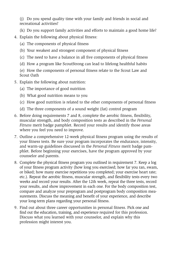(j) Do you spend quality time with your family and friends in social and recreational activities?

- (k) Do you support family activities and efforts to maintain a good home life?
- 4. Explain the following about physical fitness:
	- (a) The components of physical fitness
	- (b) Your weakest and strongest component of physical fitness
	- (c) The need to have a balance in all five components of physical fitness
	- (d) How a program like ScoutStrong can lead to lifelong healthful habits

(e) How the components of personal fitness relate to the Scout Law and Scout Oath

- 5. Explain the following about nutrition:
	- (a) The importance of good nutrition
	- (b) What good nutrition means to you
	- (c) How good nutrition is related to the other components of personal fitness
	- (d) The three components of a sound weight (fat) control program
- 6. Before doing requirements 7 and 8, complete the aerobic fitness, flexibility, muscular strength, and body composition tests as described in the *Personal Fitness* merit badge pamphlet. Record your results and identify those areas where you feel you need to improve.
- 7. Outline a comprehensive 12-week physical fitness program using the results of your fitness tests. Be sure your program incorporates the endurance, intensity, and warm-up guidelines discussed in the *Personal Fitness* merit badge pamphlet. Before beginning your exercises, have the program approved by your counselor and parents.
- 8. Complete the physical fitness program you outlined in requirement 7. Keep a log of your fitness program activity (how long you exercised; how far you ran, swam, or biked; how many exercise repetitions you completed; your exercise heart rate; etc.). Repeat the aerobic fitness, muscular strength, and flexibility tests every two weeks and record your results. After the 12th week, repeat the three tests, record your results, and show improvement in each one. For the body composition test, compare and analyze your preprogram and postprogram body composition measurements. Discuss the meaning and benefit of your experience, and describe your long-term plans regarding your personal fitness.
- 9. Find out about three career opportunities in personal fitness. Pick one and find out the education, training, and experience required for this profession. Discuss what you learned with your counselor, and explain why this profession might interest you.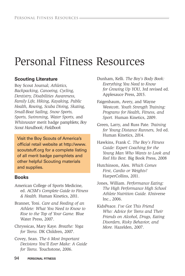## Personal Fitness Resources

#### **Scouting Literature**

Boy Scout Journal; *Athletics, Backpacking, Canoeing, Cycling, Dentistry, Disabilities Awareness, Family Life, Hiking, Kayaking, Public Health, Rowing, Scuba Diving, Skating, Small-Boat Sailing, Snow Sports, Sports, Swimming, Water Sports,* and *Whitewater* merit badge pamphlets; *Boy Scout Handbook; Fieldbook*

Visit the Boy Scouts of America's official retail website at http://www. scoutstuff.org for a complete listing of all merit badge pamphlets and other helpful Scouting materials and supplies.

#### **Books**

- American College of Sports Medicine, ed. *ACSM's Complete Guide to Fitness & Health.* Human Kinetics, 2011.
- Branner, Toni. *Care and Feeding of an Athlete: What You Need to Know to Rise to the Top of Your Game.* Blue Water Press, 2007.
- Chryssicas, Mary Kaye. *Breathe: Yoga for Teens.* DK Children, 2007.
- Covey, Sean. *The 6 Most Important Decisions You'll Ever Make: A Guide for Teens.* Touchstone, 2006.

Dunham, Kelli. *The Boy's Body Book: Everything You Need to Know for Growing Up YOU,* 3rd revised ed. Applesauce Press, 2015.

Faigenbaum, Avery, and Wayne Westcott. *Youth Strength Training: Programs for Health, Fitness, and Sport.* Human Kinetics, 2009.

- Green, Larry, and Russ Pate. *Training for Young Distance Runners,* 3rd ed. Human Kinetics, 2014.
- Hawkins, Frank C. *The Boy's Fitness Guide: Expert Coaching for the Young Man Who Wants to Look and Feel His Best.* Big Book Press, 2008
- Hutchinson, Alex. *Which Comes First, Cardio or Weights?*  HarperCollins, 2011.
- Jones, William. *Performance Eating: The High Performance High School Athlete Nutrition Guide.* iUniverse Inc., 2006.
- KidsPeace. *I've Got This Friend Who: Advice for Teens and Their Friends on Alcohol, Drugs, Eating Disorders, Risky Behavior, and More.* Hazelden, 2007.